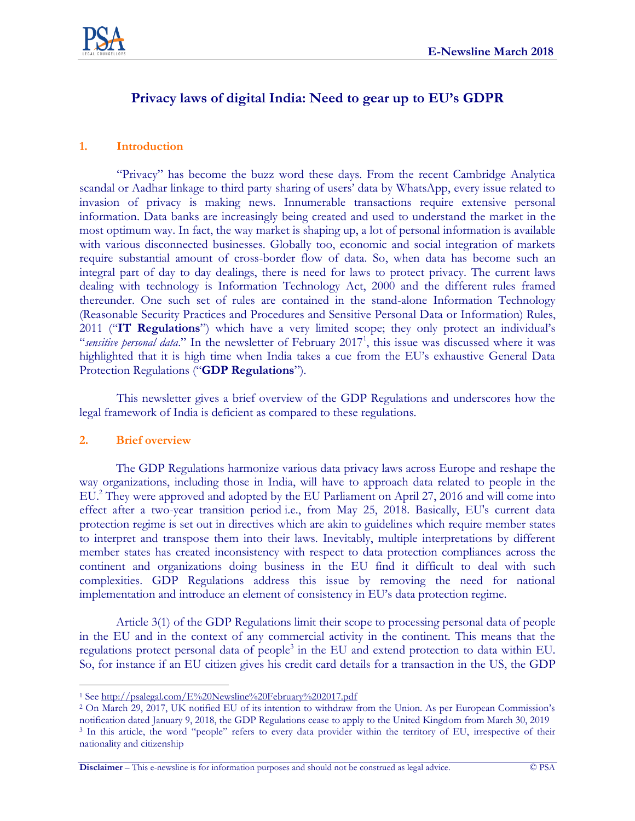

# **Privacy laws of digital India: Need to gear up to EU's GDPR**

#### **1. Introduction**

"Privacy" has become the buzz word these days. From the recent Cambridge Analytica scandal or Aadhar linkage to third party sharing of users' data by WhatsApp, every issue related to invasion of privacy is making news. Innumerable transactions require extensive personal information. Data banks are increasingly being created and used to understand the market in the most optimum way. In fact, the way market is shaping up, a lot of personal information is available with various disconnected businesses. Globally too, economic and social integration of markets require substantial amount of cross-border flow of data. So, when data has become such an integral part of day to day dealings, there is need for laws to protect privacy. The current laws dealing with technology is Information Technology Act, 2000 and the different rules framed thereunder. One such set of rules are contained in the stand-alone Information Technology (Reasonable Security Practices and Procedures and Sensitive Personal Data or Information) Rules, 2011 ("**IT Regulations**") which have a very limited scope; they only protect an individual's "sensitive personal data." In the newsletter of February 2017<sup>1</sup>, this issue was discussed where it was highlighted that it is high time when India takes a cue from the EU's exhaustive General Data Protection Regulations ("**GDP Regulations**").

This newsletter gives a brief overview of the GDP Regulations and underscores how the legal framework of India is deficient as compared to these regulations.

#### **2. Brief overview**

 $\overline{a}$ 

The GDP Regulations harmonize various data privacy laws across Europe and reshape the way organizations, including those in India, will have to approach data related to people in the EU. <sup>2</sup> They were approved and adopted by the EU Parliament on April 27, 2016 and will come into effect after a two-year transition period i.e., from May 25, 2018. Basically, EU's current data protection regime is set out in directives which are akin to guidelines which require member states to interpret and transpose them into their laws. Inevitably, multiple interpretations by different member states has created inconsistency with respect to data protection compliances across the continent and organizations doing business in the EU find it difficult to deal with such complexities. GDP Regulations address this issue by removing the need for national implementation and introduce an element of consistency in EU's data protection regime.

Article 3(1) of the GDP Regulations limit their scope to processing personal data of people in the EU and in the context of any commercial activity in the continent. This means that the regulations protect personal data of people<sup>3</sup> in the EU and extend protection to data within EU. So, for instance if an EU citizen gives his credit card details for a transaction in the US, the GDP

**Disclaimer** – This e-newsline is for information purposes and should not be construed as legal advice. © PSA

<sup>1</sup> Se[e http://psalegal.com/E%20Newsline%20February%202017.pdf](http://psalegal.com/E%20Newsline%20February%202017.pdf)

<sup>2</sup> On March 29, 2017, UK notified EU of its intention to withdraw from the Union. As per European Commission's notification dated January 9, 2018, the GDP Regulations cease to apply to the United Kingdom from March 30, 2019 <sup>3</sup> In this article, the word "people" refers to every data provider within the territory of EU, irrespective of their nationality and citizenship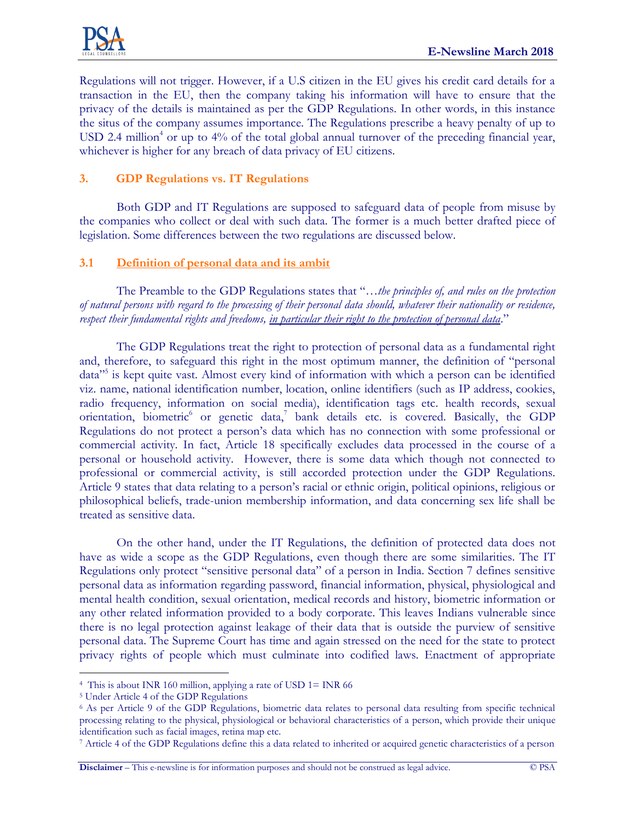

Regulations will not trigger. However, if a U.S citizen in the EU gives his credit card details for a transaction in the EU, then the company taking his information will have to ensure that the privacy of the details is maintained as per the GDP Regulations. In other words, in this instance the situs of the company assumes importance. The Regulations prescribe a heavy penalty of up to USD 2.4 million<sup>4</sup> or up to  $4\%$  of the total global annual turnover of the preceding financial year, whichever is higher for any breach of data privacy of EU citizens.

## **3. GDP Regulations vs. IT Regulations**

Both GDP and IT Regulations are supposed to safeguard data of people from misuse by the companies who collect or deal with such data. The former is a much better drafted piece of legislation. Some differences between the two regulations are discussed below.

#### **3.1 Definition of personal data and its ambit**

The Preamble to the GDP Regulations states that "…*the principles of, and rules on the protection of natural persons with regard to the processing of their personal data should, whatever their nationality or residence, respect their fundamental rights and freedoms, in particular their right to the protection of personal data*."

The GDP Regulations treat the right to protection of personal data as a fundamental right and, therefore, to safeguard this right in the most optimum manner, the definition of "personal data"<sup>5</sup> is kept quite vast. Almost every kind of information with which a person can be identified viz. name, national identification number, location, online identifiers (such as IP address, cookies, radio frequency, information on social media), identification tags etc. health records, sexual orientation, biometric<sup>6</sup> or genetic data,<sup>7</sup> bank details etc. is covered. Basically, the GDP Regulations do not protect a person's data which has no connection with some professional or commercial activity. In fact, Article 18 specifically excludes data processed in the course of a personal or household activity. However, there is some data which though not connected to professional or commercial activity, is still accorded protection under the GDP Regulations. Article 9 states that data relating to a person's racial or ethnic origin, political opinions, religious or philosophical beliefs, trade-union membership information, and data concerning sex life shall be treated as sensitive data.

On the other hand, under the IT Regulations, the definition of protected data does not have as wide a scope as the GDP Regulations, even though there are some similarities. The IT Regulations only protect "sensitive personal data" of a person in India. Section 7 defines sensitive personal data as information regarding password, financial information, physical, physiological and mental health condition, sexual orientation, medical records and history, biometric information or any other related information provided to a body corporate. This leaves Indians vulnerable since there is no legal protection against leakage of their data that is outside the purview of sensitive personal data. The Supreme Court has time and again stressed on the need for the state to protect privacy rights of people which must culminate into codified laws. Enactment of appropriate

**Disclaimer** – This e-newsline is for information purposes and should not be construed as legal advice. © PSA

 $\overline{a}$ 4 This is about INR 160 million, applying a rate of USD 1= INR 66

<sup>5</sup> Under Article 4 of the GDP Regulations

<sup>6</sup> As per Article 9 of the GDP Regulations, biometric data relates to personal data resulting from specific technical processing relating to the physical, physiological or behavioral characteristics of a person, which provide their unique identification such as facial images, retina map etc.

<sup>7</sup> Article 4 of the GDP Regulations define this a data related to inherited or acquired genetic characteristics of a person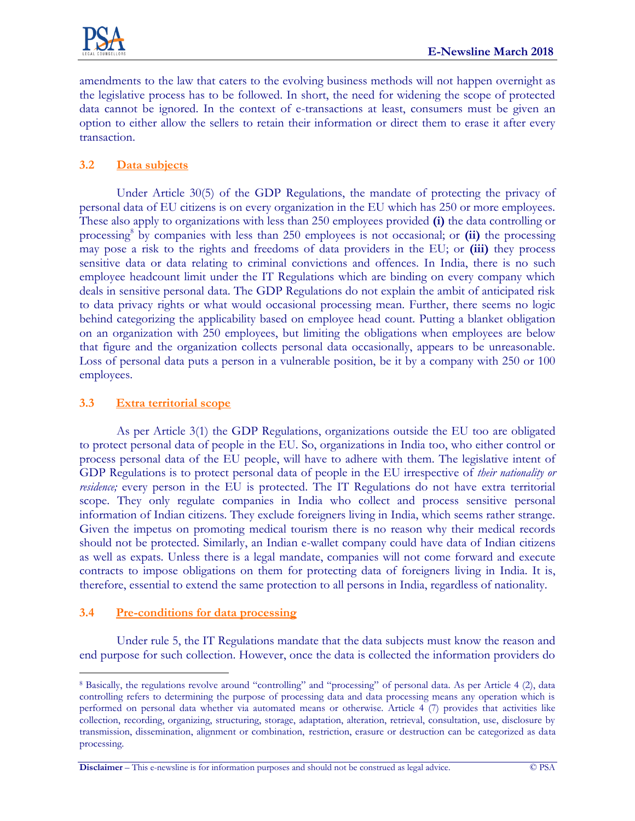

amendments to the law that caters to the evolving business methods will not happen overnight as the legislative process has to be followed. In short, the need for widening the scope of protected data cannot be ignored. In the context of e-transactions at least, consumers must be given an option to either allow the sellers to retain their information or direct them to erase it after every transaction.

# **3.2 Data subjects**

Under Article 30(5) of the GDP Regulations, the mandate of protecting the privacy of personal data of EU citizens is on every organization in the EU which has 250 or more employees. These also apply to organizations with less than 250 employees provided **(i)** the data controlling or processing<sup>8</sup> by companies with less than 250 employees is not occasional; or (ii) the processing may pose a risk to the rights and freedoms of data providers in the EU; or **(iii)** they process sensitive data or data relating to criminal convictions and offences. In India, there is no such employee headcount limit under the IT Regulations which are binding on every company which deals in sensitive personal data. The GDP Regulations do not explain the ambit of anticipated risk to data privacy rights or what would occasional processing mean. Further, there seems no logic behind categorizing the applicability based on employee head count. Putting a blanket obligation on an organization with 250 employees, but limiting the obligations when employees are below that figure and the organization collects personal data occasionally, appears to be unreasonable. Loss of personal data puts a person in a vulnerable position, be it by a company with 250 or 100 employees.

## **3.3 Extra territorial scope**

As per Article 3(1) the GDP Regulations, organizations outside the EU too are obligated to protect personal data of people in the EU. So, organizations in India too, who either control or process personal data of the EU people, will have to adhere with them. The legislative intent of GDP Regulations is to protect personal data of people in the EU irrespective of *their nationality or residence;* every person in the EU is protected. The IT Regulations do not have extra territorial scope. They only regulate companies in India who collect and process sensitive personal information of Indian citizens. They exclude foreigners living in India, which seems rather strange. Given the impetus on promoting medical tourism there is no reason why their medical records should not be protected. Similarly, an Indian e-wallet company could have data of Indian citizens as well as expats. Unless there is a legal mandate, companies will not come forward and execute contracts to impose obligations on them for protecting data of foreigners living in India. It is, therefore, essential to extend the same protection to all persons in India, regardless of nationality.

## **3.4 Pre-conditions for data processing**

 $\overline{a}$ 

Under rule 5, the IT Regulations mandate that the data subjects must know the reason and end purpose for such collection. However, once the data is collected the information providers do

<sup>8</sup> Basically, the regulations revolve around "controlling" and "processing" of personal data. As per Article 4 (2), data controlling refers to determining the purpose of processing data and data processing means any operation which is performed on personal data whether via automated means or otherwise. Article 4 (7) provides that activities like collection, recording, organizing, structuring, storage, adaptation, alteration, retrieval, consultation, use, disclosure by transmission, dissemination, alignment or combination, restriction, erasure or destruction can be categorized as data processing.

**Disclaimer** – This e-newsline is for information purposes and should not be construed as legal advice. © PSA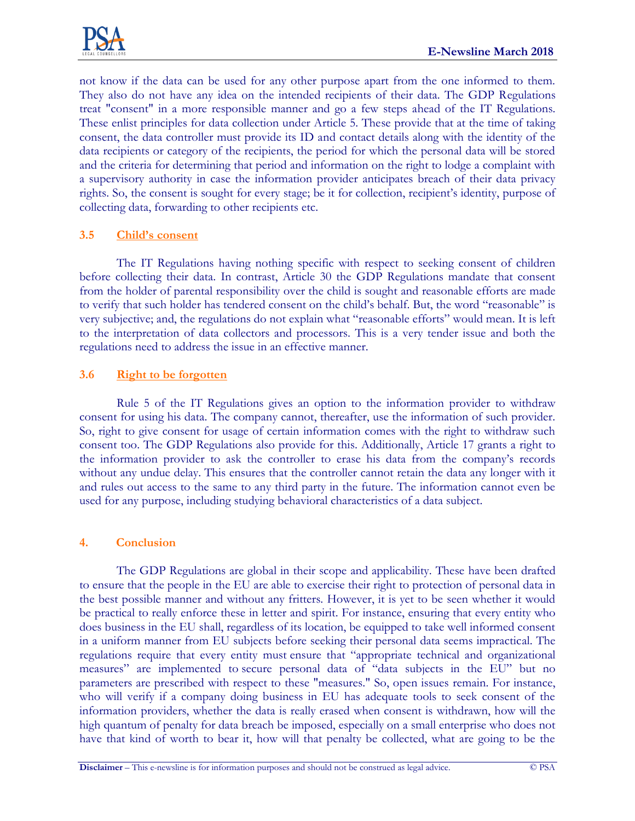

not know if the data can be used for any other purpose apart from the one informed to them. They also do not have any idea on the intended recipients of their data. The GDP Regulations treat "consent" in a more responsible manner and go a few steps ahead of the IT Regulations. These enlist principles for data collection under Article 5. These provide that at the time of taking consent, the data controller must provide its ID and contact details along with the identity of the data recipients or category of the recipients, the period for which the personal data will be stored and the criteria for determining that period and information on the right to lodge a complaint with a supervisory authority in case the information provider anticipates breach of their data privacy rights. So, the consent is sought for every stage; be it for collection, recipient's identity, purpose of collecting data, forwarding to other recipients etc.

## **3.5 Child's consent**

The IT Regulations having nothing specific with respect to seeking consent of children before collecting their data. In contrast, Article 30 the GDP Regulations mandate that consent from the holder of parental responsibility over the child is sought and reasonable efforts are made to verify that such holder has tendered consent on the child's behalf. But, the word "reasonable" is very subjective; and, the regulations do not explain what "reasonable efforts" would mean. It is left to the interpretation of data collectors and processors. This is a very tender issue and both the regulations need to address the issue in an effective manner.

## **3.6 Right to be forgotten**

Rule 5 of the IT Regulations gives an option to the information provider to withdraw consent for using his data. The company cannot, thereafter, use the information of such provider. So, right to give consent for usage of certain information comes with the right to withdraw such consent too. The GDP Regulations also provide for this. Additionally, Article 17 grants a right to the information provider to ask the controller to erase his data from the company's records without any undue delay. This ensures that the controller cannot retain the data any longer with it and rules out access to the same to any third party in the future. The information cannot even be used for any purpose, including studying behavioral characteristics of a data subject.

#### **4. Conclusion**

The GDP Regulations are global in their scope and applicability. These have been drafted to ensure that the people in the EU are able to exercise their right to protection of personal data in the best possible manner and without any fritters. However, it is yet to be seen whether it would be practical to really enforce these in letter and spirit. For instance, ensuring that every entity who does business in the EU shall, regardless of its location, be equipped to take well informed consent in a uniform manner from EU subjects before seeking their personal data seems impractical. The regulations require that every entity must ensure that "appropriate technical and organizational measures" are implemented to secure personal data of "data subjects in the EU" but no parameters are prescribed with respect to these "measures." So, open issues remain. For instance, who will verify if a company doing business in EU has adequate tools to seek consent of the information providers, whether the data is really erased when consent is withdrawn, how will the high quantum of penalty for data breach be imposed, especially on a small enterprise who does not have that kind of worth to bear it, how will that penalty be collected, what are going to be the